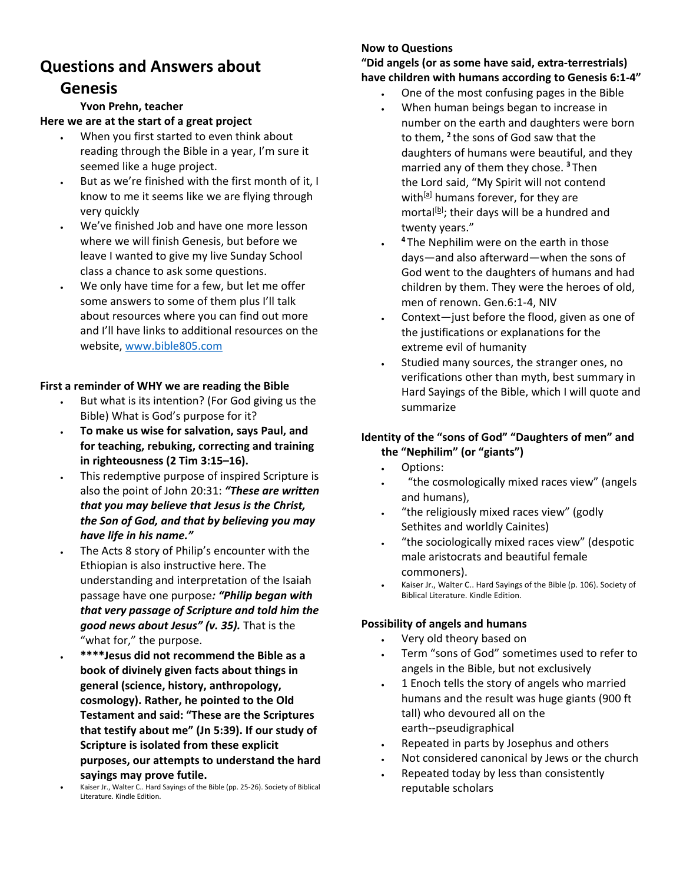# **Questions and Answers about**

# **Genesis**

# **Yvon Prehn, teacher**

### **Here we are at the start of a great project**

- When you first started to even think about reading through the Bible in a year, I'm sure it seemed like a huge project.
- But as we're finished with the first month of it, I know to me it seems like we are flying through very quickly
- We've finished Job and have one more lesson where we will finish Genesis, but before we leave I wanted to give my live Sunday School class a chance to ask some questions.
- We only have time for a few, but let me offer some answers to some of them plus I'll talk about resources where you can find out more and I'll have links to additional resources on the website, [www.bible805.com](http://www.bible805.com/)

# **First a reminder of WHY we are reading the Bible**

- But what is its intention? (For God giving us the Bible) What is God's purpose for it?
- **To make us wise for salvation, says Paul, and for teaching, rebuking, correcting and training in righteousness (2 Tim 3:15–16).**
- This redemptive purpose of inspired Scripture is also the point of John 20:31: *"These are written that you may believe that Jesus is the Christ, the Son of God, and that by believing you may have life in his name."*
- The Acts 8 story of Philip's encounter with the Ethiopian is also instructive here. The understanding and interpretation of the Isaiah passage have one purpose*: "Philip began with that very passage of Scripture and told him the good news about Jesus" (v. 35).* That is the "what for," the purpose.
- **\*\*\*\*Jesus did not recommend the Bible as a book of divinely given facts about things in general (science, history, anthropology, cosmology). Rather, he pointed to the Old Testament and said: "These are the Scriptures that testify about me" (Jn 5:39). If our study of Scripture is isolated from these explicit purposes, our attempts to understand the hard sayings may prove futile.**

• Kaiser Jr., Walter C.. Hard Sayings of the Bible (pp. 25-26). Society of Biblical Literature. Kindle Edition.

# **Now to Questions**

# **"Did angels (or as some have said, extra-terrestrials) have children with humans according to Genesis 6:1-4"**

- One of the most confusing pages in the Bible
- When human beings began to increase in number on the earth and daughters were born to them, **<sup>2</sup>** the sons of God saw that the daughters of humans were beautiful, and they married any of them they chose. **<sup>3</sup>** Then the Lord said, "My Spirit will not contend with<sup>[a]</sup> humans forever, for they are mortal<sup>[b]</sup>; their days will be a hundred and twenty years."
- **<sup>4</sup>** The Nephilim were on the earth in those days—and also afterward—when the sons of God went to the daughters of humans and had children by them. They were the heroes of old, men of renown. Gen.6:1-4, NIV
- Context-just before the flood, given as one of the justifications or explanations for the extreme evil of humanity
- Studied many sources, the stranger ones, no verifications other than myth, best summary in Hard Sayings of the Bible, which I will quote and summarize

# **Identity of the "sons of God" "Daughters of men" and the "Nephilim" (or "giants")**

- Options:
- "the cosmologically mixed races view" (angels and humans),
- "the religiously mixed races view" (godly Sethites and worldly Cainites)
- "the sociologically mixed races view" (despotic male aristocrats and beautiful female commoners).
- Kaiser Jr., Walter C.. Hard Sayings of the Bible (p. 106). Society of Biblical Literature. Kindle Edition.

# **Possibility of angels and humans**

- Very old theory based on
- Term "sons of God" sometimes used to refer to angels in the Bible, but not exclusively
- 1 Enoch tells the story of angels who married humans and the result was huge giants (900 ft tall) who devoured all on the earth--pseudigraphical
- Repeated in parts by Josephus and others
- Not considered canonical by Jews or the church
- Repeated today by less than consistently reputable scholars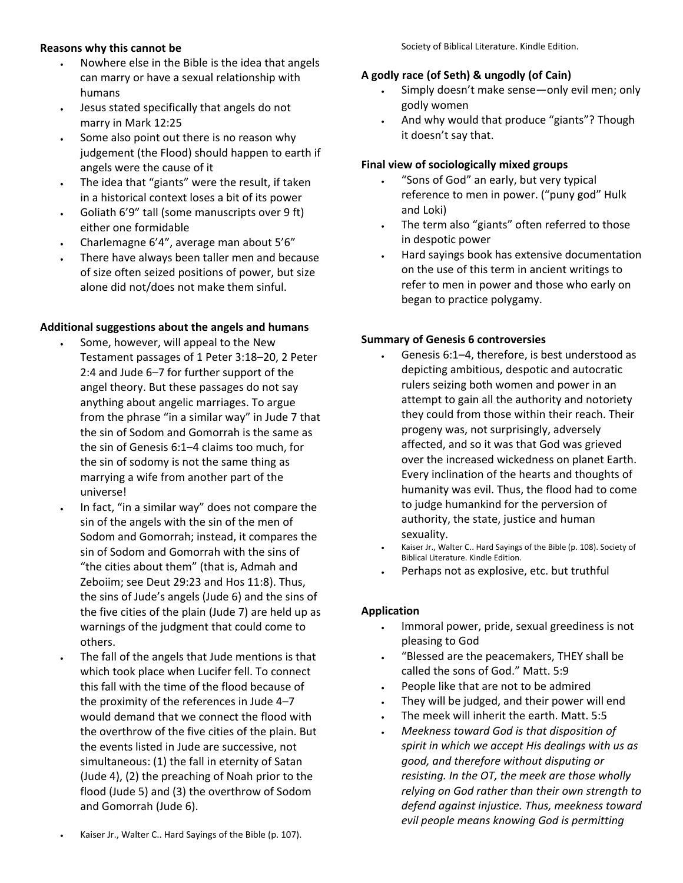#### **Reasons why this cannot be**

- Nowhere else in the Bible is the idea that angels can marry or have a sexual relationship with humans
- Jesus stated specifically that angels do not marry in Mark 12:25
- Some also point out there is no reason why judgement (the Flood) should happen to earth if angels were the cause of it
- The idea that "giants" were the result, if taken in a historical context loses a bit of its power
- Goliath 6'9" tall (some manuscripts over 9 ft) either one formidable
- Charlemagne 6'4", average man about 5'6"
- There have always been taller men and because of size often seized positions of power, but size alone did not/does not make them sinful.

#### **Additional suggestions about the angels and humans**

- Some, however, will appeal to the New Testament passages of 1 Peter 3:18–20, 2 Peter 2:4 and Jude 6–7 for further support of the angel theory. But these passages do not say anything about angelic marriages. To argue from the phrase "in a similar way" in Jude 7 that the sin of Sodom and Gomorrah is the same as the sin of Genesis 6:1–4 claims too much, for the sin of sodomy is not the same thing as marrying a wife from another part of the universe!
- In fact, "in a similar way" does not compare the sin of the angels with the sin of the men of Sodom and Gomorrah; instead, it compares the sin of Sodom and Gomorrah with the sins of "the cities about them" (that is, Admah and Zeboiim; see Deut 29:23 and Hos 11:8). Thus, the sins of Jude's angels (Jude 6) and the sins of the five cities of the plain (Jude 7) are held up as warnings of the judgment that could come to others.
- The fall of the angels that Jude mentions is that which took place when Lucifer fell. To connect this fall with the time of the flood because of the proximity of the references in Jude 4–7 would demand that we connect the flood with the overthrow of the five cities of the plain. But the events listed in Jude are successive, not simultaneous: (1) the fall in eternity of Satan (Jude 4), (2) the preaching of Noah prior to the flood (Jude 5) and (3) the overthrow of Sodom and Gomorrah (Jude 6).

#### **A godly race (of Seth) & ungodly (of Cain)**

- Simply doesn't make sense—only evil men; only godly women
- And why would that produce "giants"? Though it doesn't say that.

#### **Final view of sociologically mixed groups**

- "Sons of God" an early, but very typical reference to men in power. ("puny god" Hulk and Loki)
- The term also "giants" often referred to those in despotic power
- Hard sayings book has extensive documentation on the use of this term in ancient writings to refer to men in power and those who early on began to practice polygamy.

#### **Summary of Genesis 6 controversies**

- Genesis 6:1–4, therefore, is best understood as depicting ambitious, despotic and autocratic rulers seizing both women and power in an attempt to gain all the authority and notoriety they could from those within their reach. Their progeny was, not surprisingly, adversely affected, and so it was that God was grieved over the increased wickedness on planet Earth. Every inclination of the hearts and thoughts of humanity was evil. Thus, the flood had to come to judge humankind for the perversion of authority, the state, justice and human sexuality.
- Kaiser Jr., Walter C.. Hard Sayings of the Bible (p. 108). Society of Biblical Literature. Kindle Edition.
- Perhaps not as explosive, etc. but truthful

#### **Application**

- Immoral power, pride, sexual greediness is not pleasing to God
- "Blessed are the peacemakers, THEY shall be called the sons of God." Matt. 5:9
- People like that are not to be admired
- They will be judged, and their power will end
- The meek will inherit the earth. Matt. 5:5
- *Meekness toward God is that disposition of spirit in which we accept His dealings with us as good, and therefore without disputing or resisting. In the OT, the meek are those wholly relying on God rather than their own strength to defend against injustice. Thus, meekness toward evil people means knowing God is permitting*
- Kaiser Jr., Walter C.. Hard Sayings of the Bible (p. 107).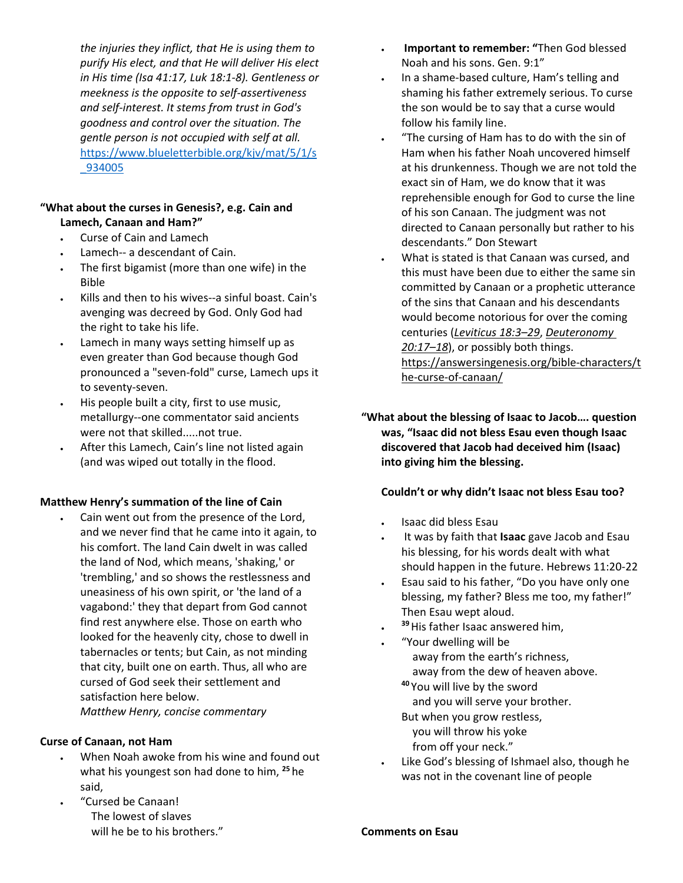*the injuries they inflict, that He is using them to purify His elect, and that He will deliver His elect in His time (Isa 41:17, Luk 18:1-8). Gentleness or meekness is the opposite to self-assertiveness and self-interest. It stems from trust in God's goodness and control over the situation. The gentle person is not occupied with self at all.*  [https://www.blueletterbible.org/kjv/mat/5/1/s](https://www.blueletterbible.org/kjv/mat/5/1/s_934005) [\\_934005](https://www.blueletterbible.org/kjv/mat/5/1/s_934005)

#### **"What about the curses in Genesis?, e.g. Cain and Lamech, Canaan and Ham?"**

- Curse of Cain and Lamech
- Lamech-- a descendant of Cain.
- The first bigamist (more than one wife) in the Bible
- Kills and then to his wives--a sinful boast. Cain's avenging was decreed by God. Only God had the right to take his life.
- Lamech in many ways setting himself up as even greater than God because though God pronounced a "seven-fold" curse, Lamech ups it to seventy-seven.
- His people built a city, first to use music, metallurgy--one commentator said ancients were not that skilled.....not true.
- After this Lamech, Cain's line not listed again (and was wiped out totally in the flood.

#### **Matthew Henry's summation of the line of Cain**

Cain went out from the presence of the Lord, and we never find that he came into it again, to his comfort. The land Cain dwelt in was called the land of Nod, which means, 'shaking,' or 'trembling,' and so shows the restlessness and uneasiness of his own spirit, or 'the land of a vagabond:' they that depart from God cannot find rest anywhere else. Those on earth who looked for the heavenly city, chose to dwell in tabernacles or tents; but Cain, as not minding that city, built one on earth. Thus, all who are cursed of God seek their settlement and satisfaction here below. *Matthew Henry, concise commentary*

#### **Curse of Canaan, not Ham**

- When Noah awoke from his wine and found out what his youngest son had done to him, **<sup>25</sup>** he said,
- "Cursed be Canaan! The lowest of slaves will he be to his brothers."
- **Important to remember: "**Then God blessed Noah and his sons. Gen. 9:1"
- In a shame-based culture, Ham's telling and shaming his father extremely serious. To curse the son would be to say that a curse would follow his family line.
- "The cursing of Ham has to do with the sin of Ham when his father Noah uncovered himself at his drunkenness. Though we are not told the exact sin of Ham, we do know that it was reprehensible enough for God to curse the line of his son Canaan. The judgment was not directed to Canaan personally but rather to his descendants." Don Stewart
- What is stated is that Canaan was cursed, and this must have been due to either the same sin committed by Canaan or a prophetic utterance of the sins that Canaan and his descendants would become notorious for over the coming centuries (*Leviticus 18:3–29*, *Deuteronomy 20:17–18*), or possibly both things. https://answersingenesis.org/bible-characters/t he-curse-of-canaan/

**"What about the blessing of Isaac to Jacob…. question was, "Isaac did not bless Esau even though Isaac discovered that Jacob had deceived him (Isaac) into giving him the blessing.** 

# **Couldn't or why didn't Isaac not bless Esau too?**

- Isaac did bless Esau
- It was by faith that **Isaac** gave Jacob and Esau his blessing, for his words dealt with what should happen in the future. Hebrews 11:20-22
- Esau said to his father, "Do you have only one blessing, my father? Bless me too, my father!" Then Esau wept aloud.
- <sup>39</sup> His father Isaac answered him,
- "Your dwelling will be away from the earth's richness, away from the dew of heaven above.
	- **<sup>40</sup>** You will live by the sword and you will serve your brother. But when you grow restless,
	- you will throw his yoke from off your neck."
- Like God's blessing of Ishmael also, though he was not in the covenant line of people

**Comments on Esau**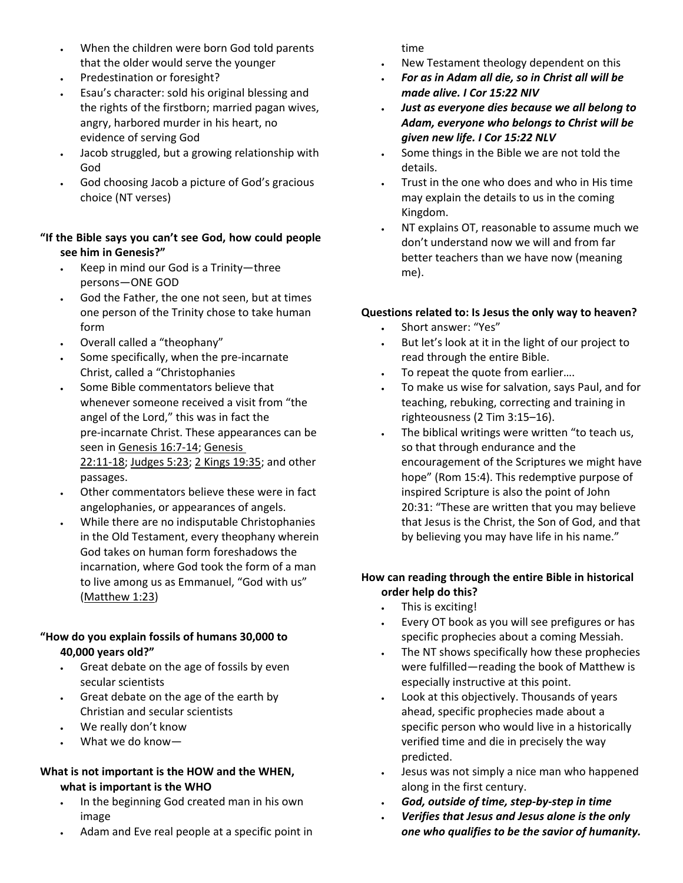- When the children were born God told parents that the older would serve the younger
- Predestination or foresight?
- Esau's character: sold his original blessing and the rights of the firstborn; married pagan wives, angry, harbored murder in his heart, no evidence of serving God
- Jacob struggled, but a growing relationship with God
- God choosing Jacob a picture of God's gracious choice (NT verses)

# **"If the Bible says you can't see God, how could people see him in Genesis?"**

- Keep in mind our God is a Trinity—three persons—ONE GOD
- God the Father, the one not seen, but at times one person of the Trinity chose to take human form
- Overall called a "theophany"
- Some specifically, when the pre-incarnate Christ, called a "Christophanies
- Some Bible commentators believe that whenever someone received a visit from "the angel of the Lord," this was in fact the pre-incarnate Christ. These appearances can be seen in Genesis 16:7-14; Genesis 22:11-18; Judges 5:23; 2 Kings 19:35; and other passages.
- Other commentators believe these were in fact angelophanies, or appearances of angels.
- While there are no indisputable Christophanies in the Old Testament, every theophany wherein God takes on human form foreshadows the incarnation, where God took the form of a man to live among us as Emmanuel, "God with us" (Matthew 1:23)

# **"How do you explain fossils of humans 30,000 to 40,000 years old?"**

- Great debate on the age of fossils by even secular scientists
- Great debate on the age of the earth by Christian and secular scientists
- We really don't know
- What we do know—

#### **What is not important is the HOW and the WHEN, what is important is the WHO**

- In the beginning God created man in his own image
- Adam and Eve real people at a specific point in

time

- New Testament theology dependent on this
- *For as in Adam all die, so in Christ all will be made alive. I Cor 15:22 NIV*
- *Just as everyone dies because we all belong to Adam, everyone who belongs to Christ will be given new life. I Cor 15:22 NLV*
- Some things in the Bible we are not told the details.
- Trust in the one who does and who in His time may explain the details to us in the coming Kingdom.
- NT explains OT, reasonable to assume much we don't understand now we will and from far better teachers than we have now (meaning me).

# **Questions related to: Is Jesus the only way to heaven?**

- Short answer: "Yes"
- But let's look at it in the light of our project to read through the entire Bible.
- To repeat the quote from earlier....
- To make us wise for salvation, says Paul, and for teaching, rebuking, correcting and training in righteousness (2 Tim 3:15–16).
- The biblical writings were written "to teach us, so that through endurance and the encouragement of the Scriptures we might have hope" (Rom 15:4). This redemptive purpose of inspired Scripture is also the point of John 20:31: "These are written that you may believe that Jesus is the Christ, the Son of God, and that by believing you may have life in his name."

# **How can reading through the entire Bible in historical order help do this?**

- This is exciting!
- Every OT book as you will see prefigures or has specific prophecies about a coming Messiah.
- The NT shows specifically how these prophecies were fulfilled—reading the book of Matthew is especially instructive at this point.
- Look at this objectively. Thousands of years ahead, specific prophecies made about a specific person who would live in a historically verified time and die in precisely the way predicted.
- Jesus was not simply a nice man who happened along in the first century.
- *God, outside of time, step-by-step in time*
- *Verifies that Jesus and Jesus alone is the only one who qualifies to be the savior of humanity.*